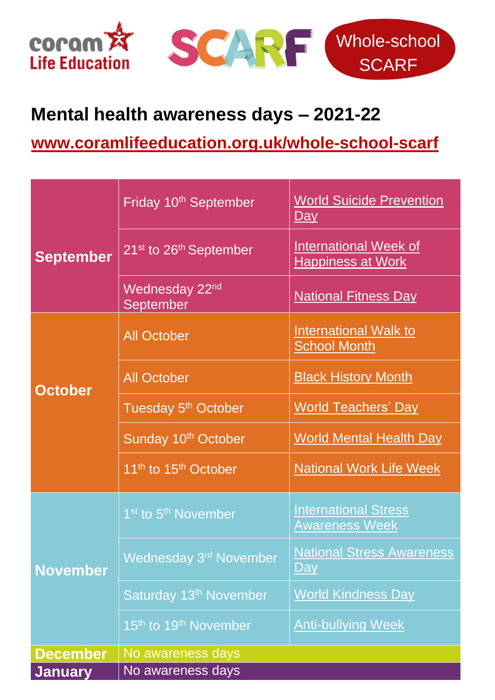

**January** No awareness days



## **Mental health awareness days – 2021-22**

**[www.coramlifeeducation.org.uk/whole-school-scarf](file:///C:/Users/Carolyn/Documents/Coram/CORAM%20wfh/CLE/www.coramlifeeducation.org.uk/whole-school-scarf)**

| <b>September</b> | Friday 10 <sup>th</sup> September              | <b>World Suicide Prevention</b><br><u>Day</u>            |
|------------------|------------------------------------------------|----------------------------------------------------------|
|                  | 21 <sup>st</sup> to 26 <sup>th</sup> September | <b>International Week of</b><br><b>Happiness at Work</b> |
| <b>October</b>   | Wednesday 22 <sup>nd</sup><br>September        | <b>National Fitness Day</b>                              |
|                  | <b>All October</b>                             | <b>International Walk to</b><br><b>School Month</b>      |
|                  | <b>All October</b>                             | <b>Black History Month</b>                               |
|                  | Tuesday 5 <sup>th</sup> October                | <b>World Teachers' Day</b>                               |
|                  | Sunday 10 <sup>th</sup> October                | <b>World Mental Health Day</b>                           |
|                  | 11 <sup>th</sup> to 15 <sup>th</sup> October   | <b>National Work Life Week</b>                           |
| <b>November</b>  | 1 <sup>st</sup> to 5 <sup>th</sup> November    | <b>International Stress</b><br><b>Awareness Week</b>     |
|                  | Wednesday 3 <sup>rd</sup> November             | <b>National Stress Awareness</b><br><u>Day</u>           |
|                  | Saturday 13 <sup>th</sup> November             | <b>World Kindness Day</b>                                |
|                  | 15 <sup>th</sup> to 19 <sup>th</sup> November  | <b>Anti-bullying Week</b>                                |
| <b>December</b>  | No awareness days                              |                                                          |
| $l$ anuary       | No awarangee dave                              |                                                          |